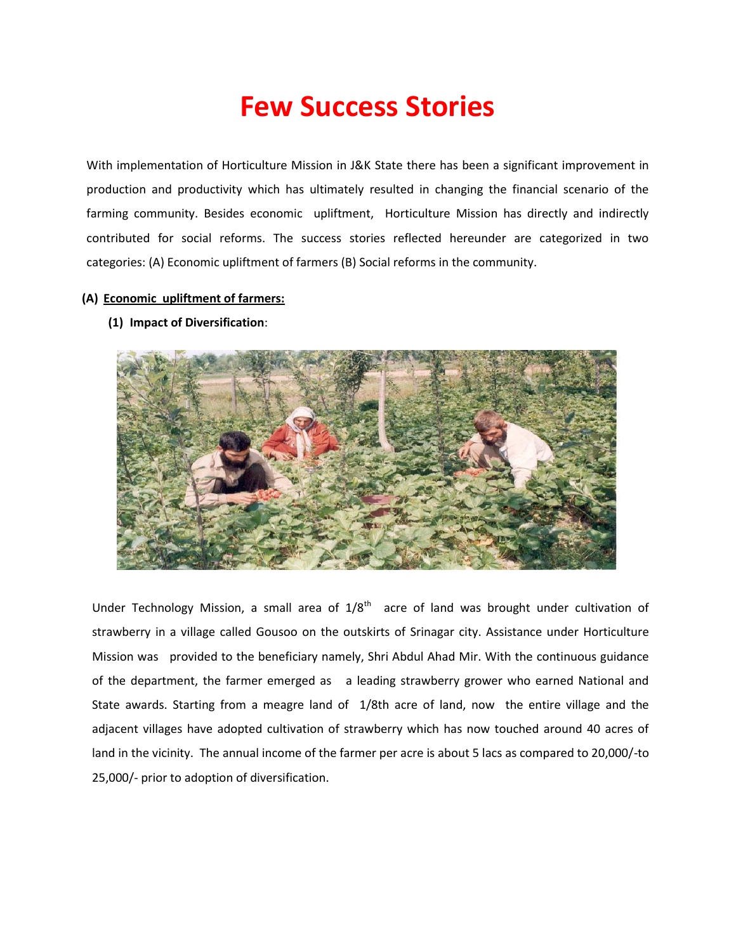## **Few Success Stories**

With implementation of Horticulture Mission in J&K State there has been a significant improvement in production and productivity which has ultimately resulted in changing the financial scenario of the farming community. Besides economic upliftment, Horticulture Mission has directly and indirectly contributed for social reforms. The success stories reflected hereunder are categorized in two categories: (A) Economic upliftment of farmers (B) Social reforms in the community.

## **(A) Economic upliftment of farmers:**

**(1) Impact of Diversification**:



Under Technology Mission, a small area of  $1/8<sup>th</sup>$  acre of land was brought under cultivation of strawberry in a village called Gousoo on the outskirts of Srinagar city. Assistance under Horticulture Mission was provided to the beneficiary namely, Shri Abdul Ahad Mir. With the continuous guidance of the department, the farmer emerged as a leading strawberry grower who earned National and State awards. Starting from a meagre land of 1/8th acre of land, now the entire village and the adjacent villages have adopted cultivation of strawberry which has now touched around 40 acres of land in the vicinity. The annual income of the farmer per acre is about 5 lacs as compared to 20,000/-to 25,000/- prior to adoption of diversification.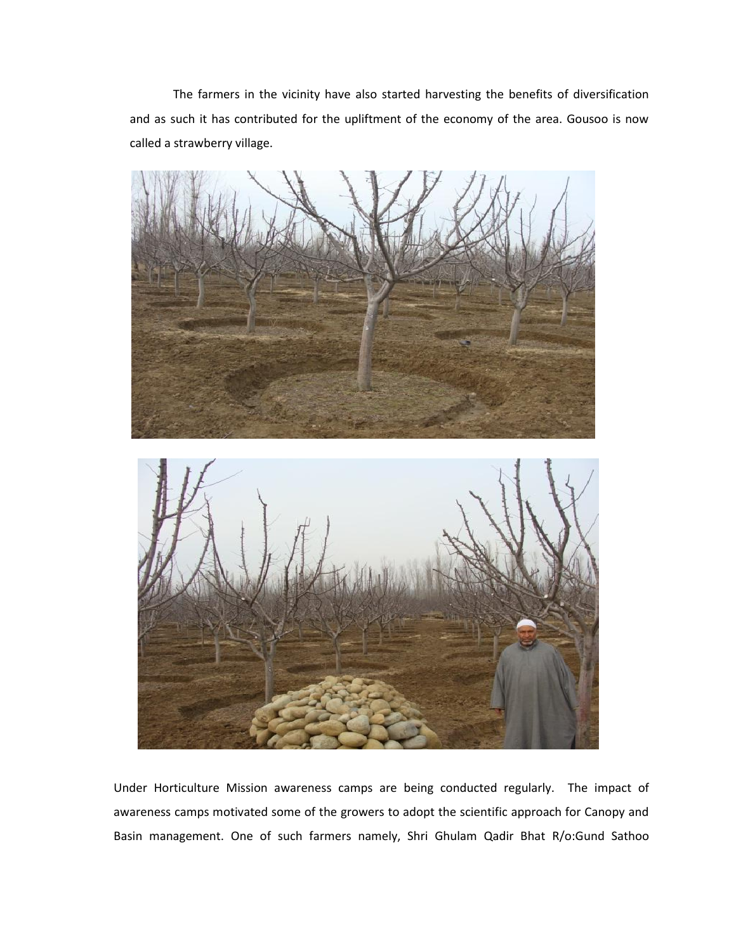The farmers in the vicinity have also started harvesting the benefits of diversification and as such it has contributed for the upliftment of the economy of the area. Gousoo is now called a strawberry village.



Under Horticulture Mission awareness camps are being conducted regularly. The impact of awareness camps motivated some of the growers to adopt the scientific approach for Canopy and Basin management. One of such farmers namely, Shri Ghulam Qadir Bhat R/o:Gund Sathoo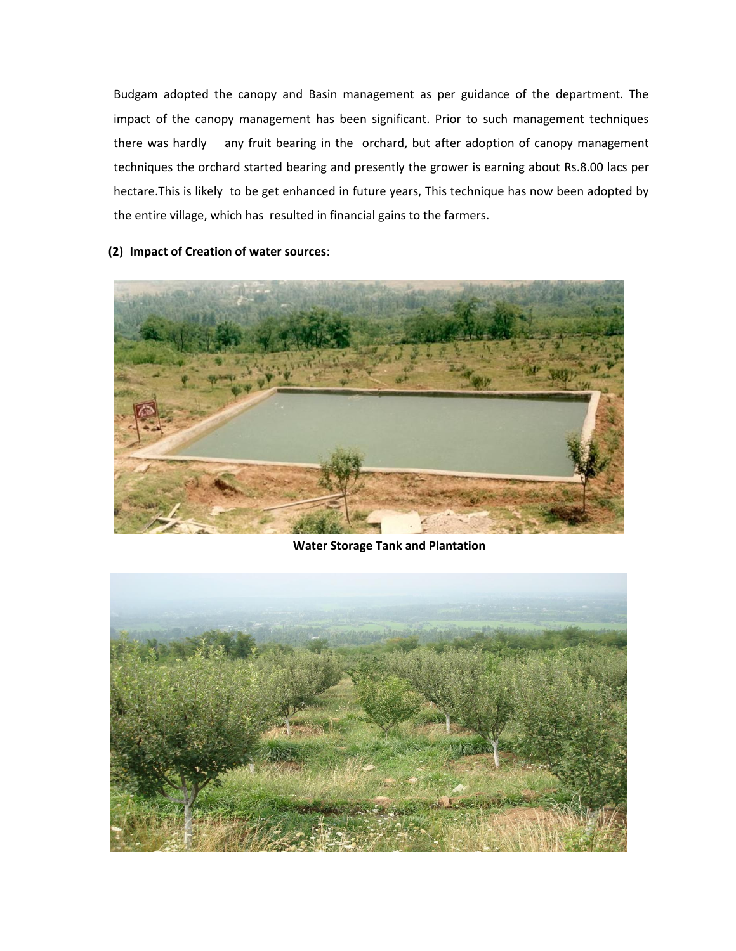Budgam adopted the canopy and Basin management as per guidance of the department. The impact of the canopy management has been significant. Prior to such management techniques there was hardly any fruit bearing in the orchard, but after adoption of canopy management techniques the orchard started bearing and presently the grower is earning about Rs.8.00 lacs per hectare.This is likely to be get enhanced in future years, This technique has now been adopted by the entire village, which has resulted in financial gains to the farmers.

**(2) Impact of Creation of water sources**:



**Water Storage Tank and Plantation** 

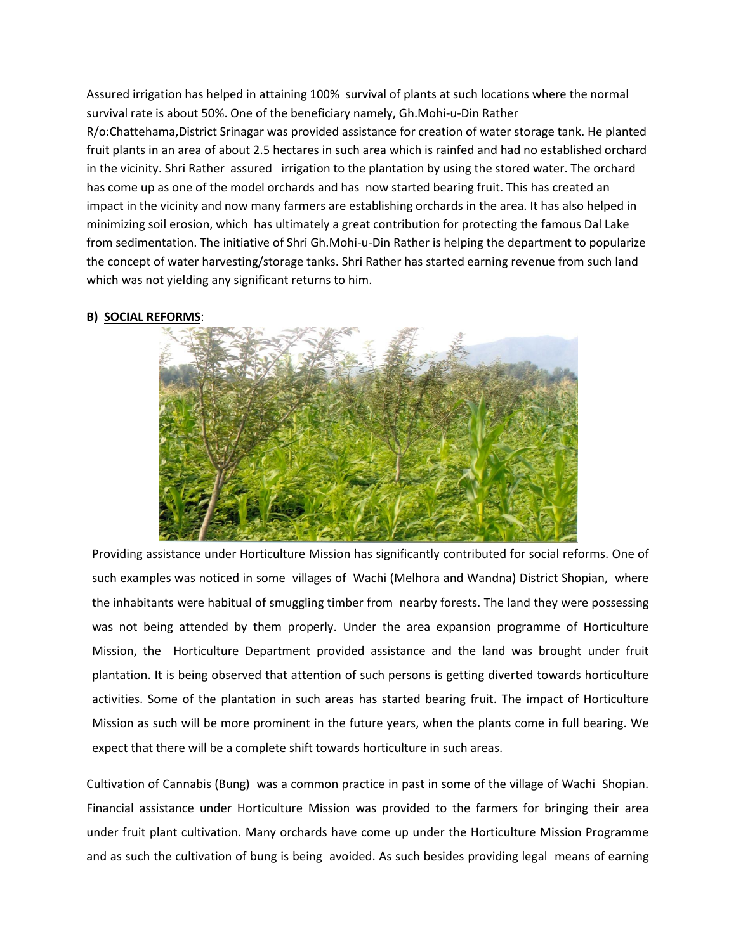Assured irrigation has helped in attaining 100% survival of plants at such locations where the normal survival rate is about 50%. One of the beneficiary namely, Gh.Mohi-u-Din Rather

R/o:Chattehama,District Srinagar was provided assistance for creation of water storage tank. He planted fruit plants in an area of about 2.5 hectares in such area which is rainfed and had no established orchard in the vicinity. Shri Rather assured irrigation to the plantation by using the stored water. The orchard has come up as one of the model orchards and has now started bearing fruit. This has created an impact in the vicinity and now many farmers are establishing orchards in the area. It has also helped in minimizing soil erosion, which has ultimately a great contribution for protecting the famous Dal Lake from sedimentation. The initiative of Shri Gh.Mohi-u-Din Rather is helping the department to popularize the concept of water harvesting/storage tanks. Shri Rather has started earning revenue from such land which was not yielding any significant returns to him.

## **B) SOCIAL REFORMS**:



Providing assistance under Horticulture Mission has significantly contributed for social reforms. One of such examples was noticed in some villages of Wachi (Melhora and Wandna) District Shopian, where the inhabitants were habitual of smuggling timber from nearby forests. The land they were possessing was not being attended by them properly. Under the area expansion programme of Horticulture Mission, the Horticulture Department provided assistance and the land was brought under fruit plantation. It is being observed that attention of such persons is getting diverted towards horticulture activities. Some of the plantation in such areas has started bearing fruit. The impact of Horticulture Mission as such will be more prominent in the future years, when the plants come in full bearing. We expect that there will be a complete shift towards horticulture in such areas.

Cultivation of Cannabis (Bung) was a common practice in past in some of the village of Wachi Shopian. Financial assistance under Horticulture Mission was provided to the farmers for bringing their area under fruit plant cultivation. Many orchards have come up under the Horticulture Mission Programme and as such the cultivation of bung is being avoided. As such besides providing legal means of earning